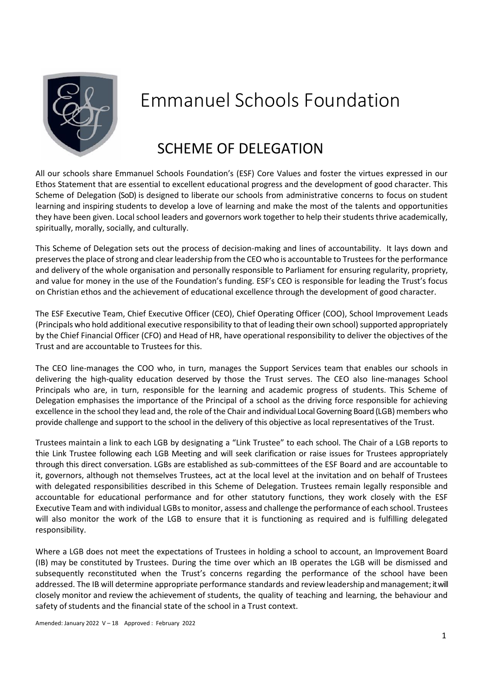

# Emmanuel Schools Foundation

# SCHEME OF DELEGATION

All our schools share Emmanuel Schools Foundation's (ESF) Core Values and foster the virtues expressed in our Ethos Statement that are essential to excellent educational progress and the development of good character. This Scheme of Delegation (SoD) is designed to liberate our schools from administrative concerns to focus on student learning and inspiring students to develop a love of learning and make the most of the talents and opportunities they have been given. Local school leaders and governors work together to help their students thrive academically, spiritually, morally, socially, and culturally.

This Scheme of Delegation sets out the process of decision-making and lines of accountability. It lays down and preserves the place of strong and clear leadership from the CEO who is accountable to Trustees for the performance and delivery of the whole organisation and personally responsible to Parliament for ensuring regularity, propriety, and value for money in the use of the Foundation's funding. ESF's CEO is responsible for leading the Trust's focus on Christian ethos and the achievement of educational excellence through the development of good character.

The ESF Executive Team, Chief Executive Officer (CEO), Chief Operating Officer (COO), School Improvement Leads (Principals who hold additional executive responsibility to that of leading their own school) supported appropriately by the Chief Financial Officer (CFO) and Head of HR, have operational responsibility to deliver the objectives of the Trust and are accountable to Trustees for this.

The CEO line-manages the COO who, in turn, manages the Support Services team that enables our schools in delivering the high-quality education deserved by those the Trust serves. The CEO also line-manages School Principals who are, in turn, responsible for the learning and academic progress of students. This Scheme of Delegation emphasises the importance of the Principal of a school as the driving force responsible for achieving excellence in the school they lead and, the role of the Chair and individual Local Governing Board (LGB) members who provide challenge and support to the school in the delivery of this objective as local representatives of the Trust.

Trustees maintain a link to each LGB by designating a "Link Trustee" to each school. The Chair of a LGB reports to thie Link Trustee following each LGB Meeting and will seek clarification or raise issues for Trustees appropriately through this direct conversation. LGBs are established as sub-committees of the ESF Board and are accountable to it, governors, although not themselves Trustees, act at the local level at the invitation and on behalf of Trustees with delegated responsibilities described in this Scheme of Delegation. Trustees remain legally responsible and accountable for educational performance and for other statutory functions, they work closely with the ESF Executive Team and with individual LGBs to monitor, assess and challenge the performance of each school. Trustees will also monitor the work of the LGB to ensure that it is functioning as required and is fulfilling delegated responsibility.

Where a LGB does not meet the expectations of Trustees in holding a school to account, an Improvement Board (IB) may be constituted by Trustees. During the time over which an IB operates the LGB will be dismissed and subsequently reconstituted when the Trust's concerns regarding the performance of the school have been addressed. The IB will determine appropriate performance standards and review leadership andmanagement; it will closely monitor and review the achievement of students, the quality of teaching and learning, the behaviour and safety of students and the financial state of the school in a Trust context.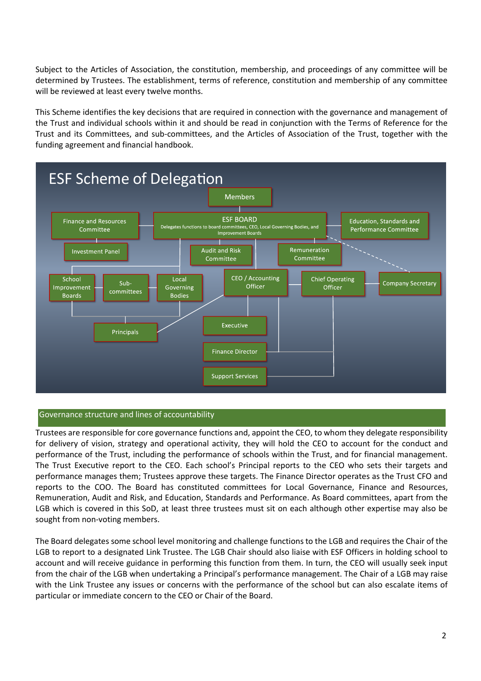Subject to the Articles of Association, the constitution, membership, and proceedings of any committee will be determined by Trustees. The establishment, terms of reference, constitution and membership of any committee will be reviewed at least every twelve months.

This Scheme identifies the key decisions that are required in connection with the governance and management of the Trust and individual schools within it and should be read in conjunction with the Terms of Reference for the Trust and its Committees, and sub-committees, and the Articles of Association of the Trust, together with the funding agreement and financial handbook.



#### Governance structure and lines of accountability

Trustees are responsible for core governance functions and, appoint the CEO, to whom they delegate responsibility for delivery of vision, strategy and operational activity, they will hold the CEO to account for the conduct and performance of the Trust, including the performance of schools within the Trust, and for financial management. The Trust Executive report to the CEO. Each school's Principal reports to the CEO who sets their targets and performance manages them; Trustees approve these targets. The Finance Director operates as the Trust CFO and reports to the COO. The Board has constituted committees for Local Governance, Finance and Resources, Remuneration, Audit and Risk, and Education, Standards and Performance. As Board committees, apart from the LGB which is covered in this SoD, at least three trustees must sit on each although other expertise may also be sought from non-voting members.

The Board delegates some school level monitoring and challenge functions to the LGB and requires the Chair of the LGB to report to a designated Link Trustee. The LGB Chair should also liaise with ESF Officers in holding school to account and will receive guidance in performing this function from them. In turn, the CEO will usually seek input from the chair of the LGB when undertaking a Principal's performance management. The Chair of a LGB may raise with the Link Trustee any issues or concerns with the performance of the school but can also escalate items of particular or immediate concern to the CEO or Chair of the Board.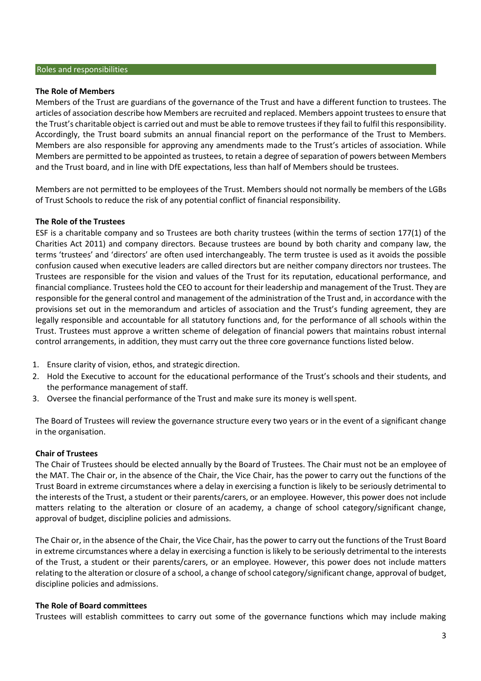#### **The Role of Members**

Members of the Trust are guardians of the governance of the Trust and have a different function to trustees. The articles of association describe how Members are recruited and replaced. Members appoint trustees to ensure that the Trust's charitable object is carried out and must be able to remove trustees if they fail to fulfil this responsibility. Accordingly, the Trust board submits an annual financial report on the performance of the Trust to Members. Members are also responsible for approving any amendments made to the Trust's articles of association. While Members are permitted to be appointed as trustees, to retain a degree of separation of powers between Members and the Trust board, and in line with DfE expectations, less than half of Members should be trustees.

Members are not permitted to be employees of the Trust. Members should not normally be members of the LGBs of Trust Schools to reduce the risk of any potential conflict of financial responsibility.

#### **The Role of the Trustees**

ESF is a charitable company and so Trustees are both charity trustees (within the terms of section 177(1) of the Charities Act 2011) and company directors. Because trustees are bound by both charity and company law, the terms 'trustees' and 'directors' are often used interchangeably. The term trustee is used as it avoids the possible confusion caused when executive leaders are called directors but are neither company directors nor trustees. The Trustees are responsible for the vision and values of the Trust for its reputation, educational performance, and financial compliance. Trustees hold the CEO to account for their leadership and management of the Trust. They are responsible for the general control and management of the administration of the Trust and, in accordance with the provisions set out in the memorandum and articles of association and the Trust's funding agreement, they are legally responsible and accountable for all statutory functions and, for the performance of all schools within the Trust. Trustees must approve a written scheme of delegation of financial powers that maintains robust internal control arrangements, in addition, they must carry out the three core governance functions listed below.

- 1. Ensure clarity of vision, ethos, and strategic direction.
- 2. Hold the Executive to account for the educational performance of the Trust's schools and their students, and the performance management of staff.
- 3. Oversee the financial performance of the Trust and make sure its money is wellspent.

The Board of Trustees will review the governance structure every two years or in the event of a significant change in the organisation.

#### **Chair of Trustees**

The Chair of Trustees should be elected annually by the Board of Trustees. The Chair must not be an employee of the MAT. The Chair or, in the absence of the Chair, the Vice Chair, has the power to carry out the functions of the Trust Board in extreme circumstances where a delay in exercising a function is likely to be seriously detrimental to the interests of the Trust, a student or their parents/carers, or an employee. However, this power does not include matters relating to the alteration or closure of an academy, a change of school category/significant change, approval of budget, discipline policies and admissions.

The Chair or, in the absence of the Chair, the Vice Chair, has the power to carry out the functions of the Trust Board in extreme circumstances where a delay in exercising a function is likely to be seriously detrimental to the interests of the Trust, a student or their parents/carers, or an employee. However, this power does not include matters relating to the alteration or closure of a school, a change of school category/significant change, approval of budget, discipline policies and admissions.

#### **The Role of Board committees**

Trustees will establish committees to carry out some of the governance functions which may include making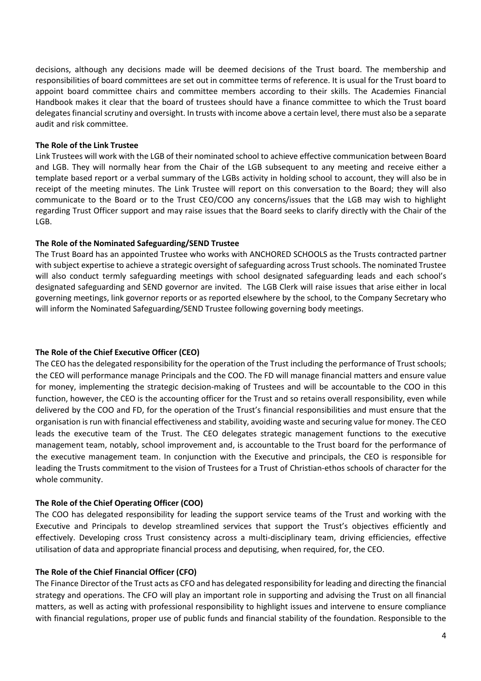decisions, although any decisions made will be deemed decisions of the Trust board. The membership and responsibilities of board committees are set out in committee terms of reference. It is usual for the Trust board to appoint board committee chairs and committee members according to their skills. The Academies Financial Handbook makes it clear that the board of trustees should have a finance committee to which the Trust board delegates financial scrutiny and oversight. In trusts with income above a certain level, there must also be a separate audit and risk committee.

#### **The Role of the Link Trustee**

Link Trustees will work with the LGB of their nominated school to achieve effective communication between Board and LGB. They will normally hear from the Chair of the LGB subsequent to any meeting and receive either a template based report or a verbal summary of the LGBs activity in holding school to account, they will also be in receipt of the meeting minutes. The Link Trustee will report on this conversation to the Board; they will also communicate to the Board or to the Trust CEO/COO any concerns/issues that the LGB may wish to highlight regarding Trust Officer support and may raise issues that the Board seeks to clarify directly with the Chair of the LGB.

# **The Role of the Nominated Safeguarding/SEND Trustee**

The Trust Board has an appointed Trustee who works with ANCHORED SCHOOLS as the Trusts contracted partner with subject expertise to achieve a strategic oversight of safeguarding across Trust schools. The nominated Trustee will also conduct termly safeguarding meetings with school designated safeguarding leads and each school's designated safeguarding and SEND governor are invited. The LGB Clerk will raise issues that arise either in local governing meetings, link governor reports or as reported elsewhere by the school, to the Company Secretary who will inform the Nominated Safeguarding/SEND Trustee following governing body meetings.

# **The Role of the Chief Executive Officer (CEO)**

The CEO has the delegated responsibility for the operation of the Trust including the performance of Trust schools; the CEO will performance manage Principals and the COO. The FD will manage financial matters and ensure value for money, implementing the strategic decision-making of Trustees and will be accountable to the COO in this function, however, the CEO is the accounting officer for the Trust and so retains overall responsibility, even while delivered by the COO and FD, for the operation of the Trust's financial responsibilities and must ensure that the organisation is run with financial effectiveness and stability, avoiding waste and securing value for money. The CEO leads the executive team of the Trust. The CEO delegates strategic management functions to the executive management team, notably, school improvement and, is accountable to the Trust board for the performance of the executive management team. In conjunction with the Executive and principals, the CEO is responsible for leading the Trusts commitment to the vision of Trustees for a Trust of Christian-ethos schools of character for the whole community.

# **The Role of the Chief Operating Officer (COO)**

The COO has delegated responsibility for leading the support service teams of the Trust and working with the Executive and Principals to develop streamlined services that support the Trust's objectives efficiently and effectively. Developing cross Trust consistency across a multi-disciplinary team, driving efficiencies, effective utilisation of data and appropriate financial process and deputising, when required, for, the CEO.

# **The Role of the Chief Financial Officer (CFO)**

The Finance Director of the Trust acts as CFO and has delegated responsibility for leading and directing the financial strategy and operations. The CFO will play an important role in supporting and advising the Trust on all financial matters, as well as acting with professional responsibility to highlight issues and intervene to ensure compliance with financial regulations, proper use of public funds and financial stability of the foundation. Responsible to the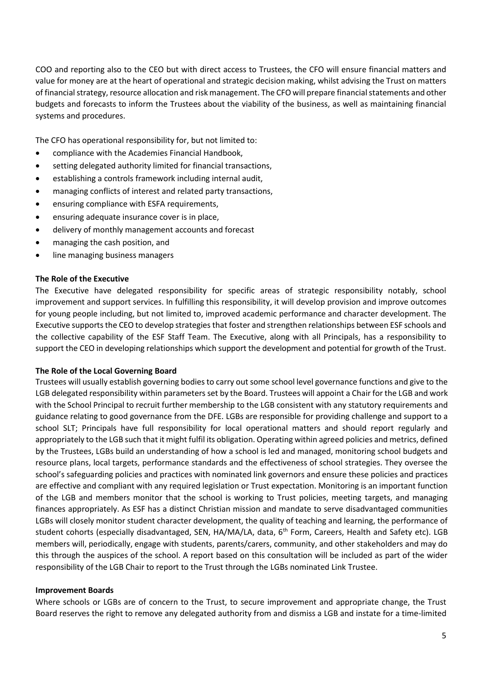COO and reporting also to the CEO but with direct access to Trustees, the CFO will ensure financial matters and value for money are at the heart of operational and strategic decision making, whilst advising the Trust on matters of financial strategy, resource allocation and risk management. The CFO will prepare financial statements and other budgets and forecasts to inform the Trustees about the viability of the business, as well as maintaining financial systems and procedures.

The CFO has operational responsibility for, but not limited to:

- compliance with the Academies Financial Handbook,
- setting delegated authority limited for financial transactions,
- establishing a controls framework including internal audit,
- managing conflicts of interest and related party transactions,
- ensuring compliance with ESFA requirements,
- ensuring adequate insurance cover is in place,
- delivery of monthly management accounts and forecast
- managing the cash position, and
- line managing business managers

#### **The Role of the Executive**

The Executive have delegated responsibility for specific areas of strategic responsibility notably, school improvement and support services. In fulfilling this responsibility, it will develop provision and improve outcomes for young people including, but not limited to, improved academic performance and character development. The Executive supports the CEO to develop strategies that foster and strengthen relationships between ESF schools and the collective capability of the ESF Staff Team. The Executive, along with all Principals, has a responsibility to support the CEO in developing relationships which support the development and potential for growth of the Trust.

#### **The Role of the Local Governing Board**

Trustees will usually establish governing bodies to carry out some school level governance functions and give to the LGB delegated responsibility within parameters set by the Board. Trustees will appoint a Chair for the LGB and work with the School Principal to recruit further membership to the LGB consistent with any statutory requirements and guidance relating to good governance from the DFE. LGBs are responsible for providing challenge and support to a school SLT; Principals have full responsibility for local operational matters and should report regularly and appropriately to the LGB such that it might fulfil its obligation. Operating within agreed policies and metrics, defined by the Trustees, LGBs build an understanding of how a school is led and managed, monitoring school budgets and resource plans, local targets, performance standards and the effectiveness of school strategies. They oversee the school's safeguarding policies and practices with nominated link governors and ensure these policies and practices are effective and compliant with any required legislation or Trust expectation. Monitoring is an important function of the LGB and members monitor that the school is working to Trust policies, meeting targets, and managing finances appropriately. As ESF has a distinct Christian mission and mandate to serve disadvantaged communities LGBs will closely monitor student character development, the quality of teaching and learning, the performance of student cohorts (especially disadvantaged, SEN, HA/MA/LA, data, 6<sup>th</sup> Form, Careers, Health and Safety etc). LGB members will, periodically, engage with students, parents/carers, community, and other stakeholders and may do this through the auspices of the school. A report based on this consultation will be included as part of the wider responsibility of the LGB Chair to report to the Trust through the LGBs nominated Link Trustee.

#### **Improvement Boards**

Where schools or LGBs are of concern to the Trust, to secure improvement and appropriate change, the Trust Board reserves the right to remove any delegated authority from and dismiss a LGB and instate for a time-limited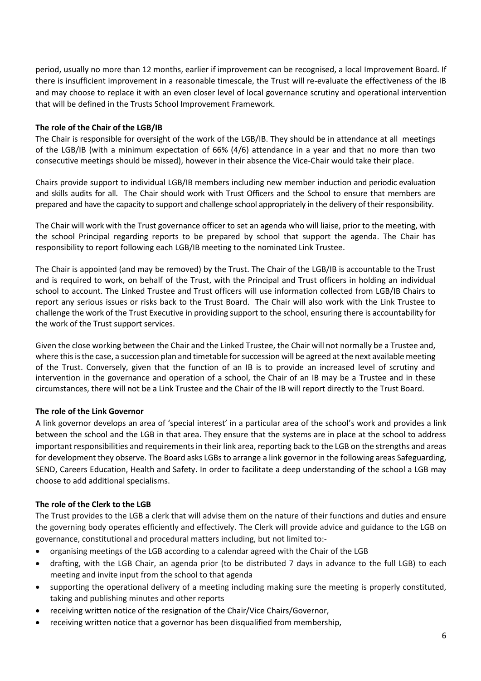period, usually no more than 12 months, earlier if improvement can be recognised, a local Improvement Board. If there is insufficient improvement in a reasonable timescale, the Trust will re-evaluate the effectiveness of the IB and may choose to replace it with an even closer level of local governance scrutiny and operational intervention that will be defined in the Trusts School Improvement Framework.

### **The role of the Chair of the LGB/IB**

The Chair is responsible for oversight of the work of the LGB/IB. They should be in attendance at all meetings of the LGB/IB (with a minimum expectation of 66% (4/6) attendance in a year and that no more than two consecutive meetings should be missed), however in their absence the Vice-Chair would take their place.

Chairs provide support to individual LGB/IB members including new member induction and periodic evaluation and skills audits for all. The Chair should work with Trust Officers and the School to ensure that members are prepared and have the capacity to support and challenge school appropriately in the delivery of their responsibility.

The Chair will work with the Trust governance officer to set an agenda who will liaise, prior to the meeting, with the school Principal regarding reports to be prepared by school that support the agenda. The Chair has responsibility to report following each LGB/IB meeting to the nominated Link Trustee.

The Chair is appointed (and may be removed) by the Trust. The Chair of the LGB/IB is accountable to the Trust and is required to work, on behalf of the Trust, with the Principal and Trust officers in holding an individual school to account. The Linked Trustee and Trust officers will use information collected from LGB/IB Chairs to report any serious issues or risks back to the Trust Board. The Chair will also work with the Link Trustee to challenge the work of the Trust Executive in providing support to the school, ensuring there is accountability for the work of the Trust support services.

Given the close working between the Chair and the Linked Trustee, the Chair will not normally be a Trustee and, where this is the case, a succession plan and timetable for succession will be agreed at the next available meeting of the Trust. Conversely, given that the function of an IB is to provide an increased level of scrutiny and intervention in the governance and operation of a school, the Chair of an IB may be a Trustee and in these circumstances, there will not be a Link Trustee and the Chair of the IB will report directly to the Trust Board.

# **The role of the Link Governor**

A link governor develops an area of 'special interest' in a particular area of the school's work and provides a link between the school and the LGB in that area. They ensure that the systems are in place at the school to address important responsibilities and requirements in their link area, reporting back to the LGB on the strengths and areas for development they observe. The Board asks LGBs to arrange a link governor in the following areas Safeguarding, SEND, Careers Education, Health and Safety. In order to facilitate a deep understanding of the school a LGB may choose to add additional specialisms.

# **The role of the Clerk to the LGB**

The Trust provides to the LGB a clerk that will advise them on the nature of their functions and duties and ensure the governing body operates efficiently and effectively. The Clerk will provide advice and guidance to the LGB on governance, constitutional and procedural matters including, but not limited to:-

- organising meetings of the LGB according to a calendar agreed with the Chair of the LGB
- drafting, with the LGB Chair, an agenda prior (to be distributed 7 days in advance to the full LGB) to each meeting and invite input from the school to that agenda
- supporting the operational delivery of a meeting including making sure the meeting is properly constituted, taking and publishing minutes and other reports
- receiving written notice of the resignation of the Chair/Vice Chairs/Governor,
- receiving written notice that a governor has been disqualified from membership,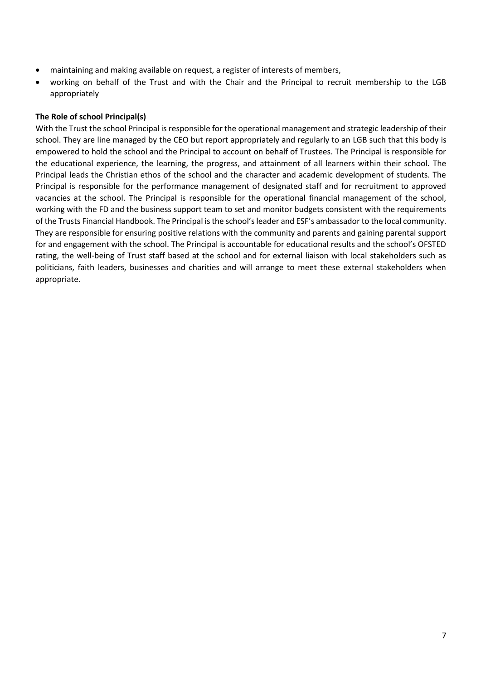- maintaining and making available on request, a register of interests of members,
- working on behalf of the Trust and with the Chair and the Principal to recruit membership to the LGB appropriately

# **The Role of school Principal(s)**

With the Trust the school Principal is responsible for the operational management and strategic leadership of their school. They are line managed by the CEO but report appropriately and regularly to an LGB such that this body is empowered to hold the school and the Principal to account on behalf of Trustees. The Principal is responsible for the educational experience, the learning, the progress, and attainment of all learners within their school. The Principal leads the Christian ethos of the school and the character and academic development of students. The Principal is responsible for the performance management of designated staff and for recruitment to approved vacancies at the school. The Principal is responsible for the operational financial management of the school, working with the FD and the business support team to set and monitor budgets consistent with the requirements of the Trusts Financial Handbook. The Principal is the school's leader and ESF's ambassador to the local community. They are responsible for ensuring positive relations with the community and parents and gaining parental support for and engagement with the school. The Principal is accountable for educational results and the school's OFSTE rating, the well-being of Trust staff based at the school and for external liaison with local stakeholders such as politicians, faith leaders, businesses and charities and will arrange to meet these external stakeholders when appropriate.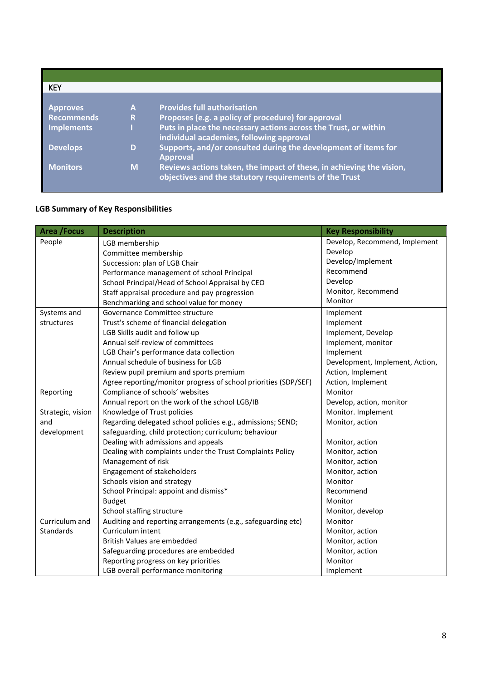| <b>KEY</b>        |   |                                                                      |
|-------------------|---|----------------------------------------------------------------------|
|                   |   |                                                                      |
| <b>Approves</b>   | A | <b>Provides full authorisation</b>                                   |
| <b>Recommends</b> | R | Proposes (e.g. a policy of procedure) for approval                   |
| <b>Implements</b> |   | Puts in place the necessary actions across the Trust, or within      |
|                   |   | individual academies, following approval                             |
| <b>Develops</b>   | D | Supports, and/or consulted during the development of items for       |
|                   |   | <b>Approval</b>                                                      |
| <b>Monitors</b>   | M | Reviews actions taken, the impact of these, in achieving the vision, |
|                   |   | objectives and the statutory requirements of the Trust               |
|                   |   |                                                                      |

# **LGB Summary of Key Responsibilities**

| <b>Area / Focus</b> | <b>Description</b>                                              | <b>Key Responsibility</b>       |
|---------------------|-----------------------------------------------------------------|---------------------------------|
| People              | LGB membership                                                  | Develop, Recommend, Implement   |
|                     | Committee membership                                            | Develop                         |
|                     | Succession: plan of LGB Chair                                   | Develop/Implement               |
|                     | Performance management of school Principal                      | Recommend                       |
|                     | School Principal/Head of School Appraisal by CEO                | Develop                         |
|                     | Staff appraisal procedure and pay progression                   | Monitor, Recommend              |
|                     | Benchmarking and school value for money                         | Monitor                         |
| Systems and         | Governance Committee structure                                  | Implement                       |
| structures          | Trust's scheme of financial delegation                          | Implement                       |
|                     | LGB Skills audit and follow up                                  | Implement, Develop              |
|                     | Annual self-review of committees                                | Implement, monitor              |
|                     | LGB Chair's performance data collection                         | Implement                       |
|                     | Annual schedule of business for LGB                             | Development, Implement, Action, |
|                     | Review pupil premium and sports premium                         | Action, Implement               |
|                     | Agree reporting/monitor progress of school priorities (SDP/SEF) | Action, Implement               |
| Reporting           | Compliance of schools' websites                                 | Monitor                         |
|                     | Annual report on the work of the school LGB/IB                  | Develop, action, monitor        |
| Strategic, vision   | Knowledge of Trust policies                                     | Monitor. Implement              |
| and                 | Regarding delegated school policies e.g., admissions; SEND;     | Monitor, action                 |
| development         | safeguarding, child protection; curriculum; behaviour           |                                 |
|                     | Dealing with admissions and appeals                             | Monitor, action                 |
|                     | Dealing with complaints under the Trust Complaints Policy       | Monitor, action                 |
|                     | Management of risk                                              | Monitor, action                 |
|                     | Engagement of stakeholders                                      | Monitor, action                 |
|                     | Schools vision and strategy                                     | Monitor                         |
|                     | School Principal: appoint and dismiss*                          | Recommend                       |
|                     | <b>Budget</b>                                                   | Monitor                         |
|                     | School staffing structure                                       | Monitor, develop                |
| Curriculum and      | Auditing and reporting arrangements (e.g., safeguarding etc)    | Monitor                         |
| Standards           | Curriculum intent                                               | Monitor, action                 |
|                     | British Values are embedded                                     | Monitor, action                 |
|                     | Safeguarding procedures are embedded                            | Monitor, action                 |
|                     | Reporting progress on key priorities                            | Monitor                         |
|                     | LGB overall performance monitoring                              | Implement                       |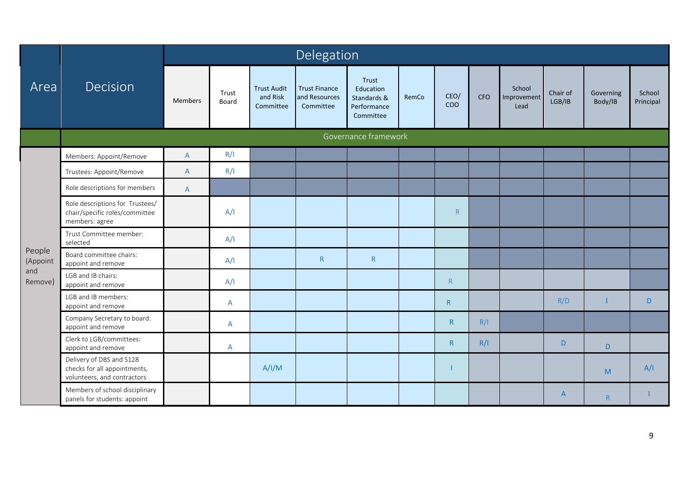|                    |                                                                                         |              |                |                                             | Delegation                                         |                                                               |       |              |            |                               |                    |                      |                     |
|--------------------|-----------------------------------------------------------------------------------------|--------------|----------------|---------------------------------------------|----------------------------------------------------|---------------------------------------------------------------|-------|--------------|------------|-------------------------------|--------------------|----------------------|---------------------|
| Area               | Decision                                                                                | Members      | Trust<br>Board | <b>Trust Audit</b><br>and Risk<br>Committee | <b>Trust Finance</b><br>and Resources<br>Committee | Trust<br>Education<br>Standards &<br>Performance<br>Committee | RemCo | CEO/<br>COO  | <b>CFO</b> | School<br>Improvement<br>Lead | Chair of<br>LGB/IB | Governing<br>Body/IB | School<br>Principal |
|                    |                                                                                         |              |                |                                             |                                                    | Governance framework                                          |       |              |            |                               |                    |                      |                     |
|                    | Members: Appoint/Remove                                                                 | A            | R/I            |                                             |                                                    |                                                               |       |              |            |                               |                    |                      |                     |
|                    | Trustees: Appoint/Remove                                                                | $\mathsf{A}$ | R/I            |                                             |                                                    |                                                               |       |              |            |                               |                    |                      |                     |
|                    | Role descriptions for members                                                           | $\mathsf{A}$ |                |                                             |                                                    |                                                               |       |              |            |                               |                    |                      |                     |
|                    | Role descriptions for Trustees/<br>chair/specific roles/committee<br>members: agree     |              | A/I            |                                             |                                                    |                                                               |       | R            |            |                               |                    |                      |                     |
|                    | Trust Committee member:<br>selected                                                     |              | A/I            |                                             |                                                    |                                                               |       |              |            |                               |                    |                      |                     |
| People<br>(Appoint | Board committee chairs:<br>appoint and remove                                           |              | A/I            |                                             | ${\sf R}$                                          | ${\sf R}$                                                     |       |              |            |                               |                    |                      |                     |
| and<br>Remove)     | LGB and IB chairs:<br>appoint and remove                                                |              | A/I            |                                             |                                                    |                                                               |       | R            |            |                               |                    |                      |                     |
|                    | LGB and IB members:<br>appoint and remove                                               |              | $\mathsf{A}$   |                                             |                                                    |                                                               |       | R            |            |                               | R/D                |                      | D                   |
|                    | Company Secretary to board:<br>appoint and remove                                       |              | A              |                                             |                                                    |                                                               |       | $\mathsf{R}$ | R/I        |                               |                    |                      |                     |
|                    | Clerk to LGB/committees:<br>appoint and remove                                          |              | A              |                                             |                                                    |                                                               |       | $\mathsf{R}$ | R/I        |                               | D                  | D.                   |                     |
|                    | Delivery of DBS and S128<br>checks for all appointments,<br>volunteers, and contractors |              |                | A/I/M                                       |                                                    |                                                               |       |              |            |                               |                    | M                    | A/I                 |
|                    | Members of school disciplinary<br>panels for students: appoint                          |              |                |                                             |                                                    |                                                               |       |              |            |                               | $\overline{A}$     | R                    |                     |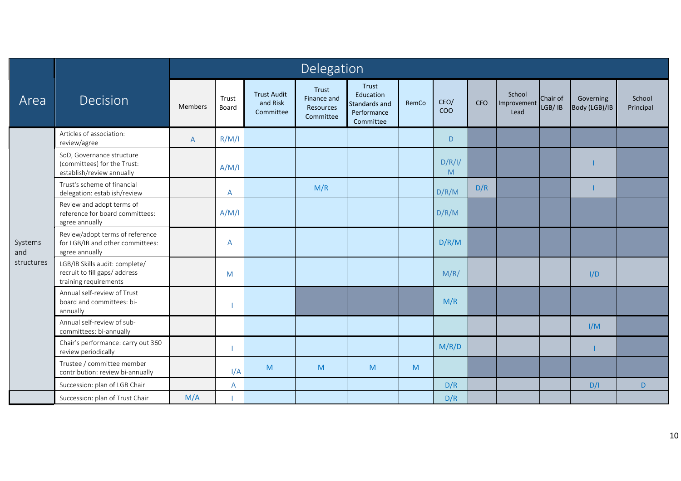|                |                                                                                          |                |                |                                             | Delegation                                     |                                                                 |       |                    |            |                               |                    |                            |                     |
|----------------|------------------------------------------------------------------------------------------|----------------|----------------|---------------------------------------------|------------------------------------------------|-----------------------------------------------------------------|-------|--------------------|------------|-------------------------------|--------------------|----------------------------|---------------------|
| Area           | Decision                                                                                 | <b>Members</b> | Trust<br>Board | <b>Trust Audit</b><br>and Risk<br>Committee | Trust<br>Finance and<br>Resources<br>Committee | Trust<br>Education<br>Standards and<br>Performance<br>Committee | RemCo | CEO/<br><b>COO</b> | <b>CFO</b> | School<br>Improvement<br>Lead | Chair of<br>LGB/IB | Governing<br>Body (LGB)/IB | School<br>Principal |
|                | Articles of association:<br>review/agree                                                 | $\overline{A}$ | R/M/I          |                                             |                                                |                                                                 |       | D.                 |            |                               |                    |                            |                     |
|                | SoD, Governance structure<br>(committees) for the Trust:<br>establish/review annually    |                | A/M/I          |                                             |                                                |                                                                 |       | D/R/I/<br>M        |            |                               |                    |                            |                     |
| Systems<br>and | Trust's scheme of financial<br>delegation: establish/review                              |                | $\overline{A}$ |                                             | M/R                                            |                                                                 |       | D/R/M              | D/R        |                               |                    |                            |                     |
|                | Review and adopt terms of<br>reference for board committees:<br>agree annually           |                | A/M/I          |                                             |                                                |                                                                 |       | D/R/M              |            |                               |                    |                            |                     |
|                | Review/adopt terms of reference<br>for LGB/IB and other committees:<br>agree annually    |                | $\mathsf{A}$   |                                             |                                                |                                                                 |       | D/R/M              |            |                               |                    |                            |                     |
| structures     | LGB/IB Skills audit: complete/<br>recruit to fill gaps/ address<br>training requirements |                | M              |                                             |                                                |                                                                 |       | M/R/               |            |                               |                    | I/D                        |                     |
|                | Annual self-review of Trust<br>board and committees: bi-<br>annually                     |                |                |                                             |                                                |                                                                 |       | M/R                |            |                               |                    |                            |                     |
|                | Annual self-review of sub-<br>committees: bi-annually                                    |                |                |                                             |                                                |                                                                 |       |                    |            |                               |                    | I/M                        |                     |
|                | Chair's performance: carry out 360<br>review periodically                                |                |                |                                             |                                                |                                                                 |       | M/R/D              |            |                               |                    |                            |                     |
|                | Trustee / committee member<br>contribution: review bi-annually                           |                | I/A            | M                                           | M                                              | M                                                               | M     |                    |            |                               |                    |                            |                     |
|                | Succession: plan of LGB Chair                                                            |                | A              |                                             |                                                |                                                                 |       | D/R                |            |                               |                    | D/I                        | D.                  |
|                | Succession: plan of Trust Chair                                                          | M/A            |                |                                             |                                                |                                                                 |       | D/R                |            |                               |                    |                            |                     |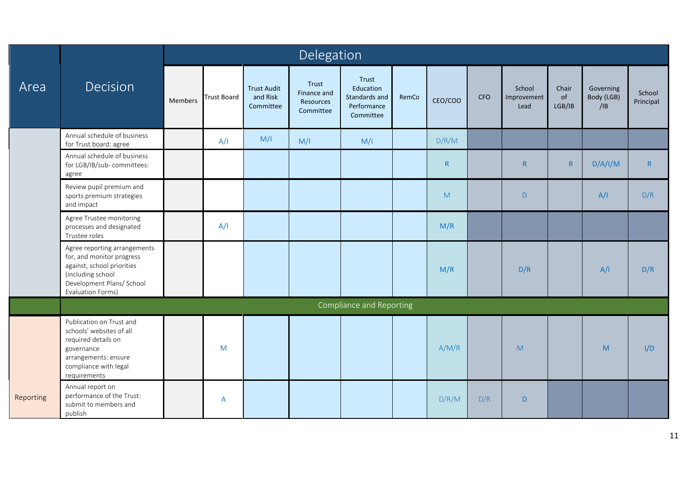|           |                                                                                                                                                                |         |                    |                                             | Delegation                                     |                                                                 |       |         |            |                               |                       |                                |                     |
|-----------|----------------------------------------------------------------------------------------------------------------------------------------------------------------|---------|--------------------|---------------------------------------------|------------------------------------------------|-----------------------------------------------------------------|-------|---------|------------|-------------------------------|-----------------------|--------------------------------|---------------------|
| Area      | Decision                                                                                                                                                       | Members | <b>Trust Board</b> | <b>Trust Audit</b><br>and Risk<br>Committee | Trust<br>Finance and<br>Resources<br>Committee | Trust<br>Education<br>Standards and<br>Performance<br>Committee | RemCo | CEO/COO | <b>CFO</b> | School<br>Improvement<br>Lead | Chair<br>of<br>LGB/IB | Governing<br>Body (LGB)<br>/IB | School<br>Principal |
|           | Annual schedule of business<br>for Trust board: agree                                                                                                          |         | A/I                | M/I                                         | M/I                                            | M/I                                                             |       | D/R/M   |            |                               |                       |                                |                     |
|           | Annual schedule of business<br>for LGB/IB/sub- committees:<br>agree                                                                                            |         |                    |                                             |                                                |                                                                 |       | R       |            | $\mathsf{R}$                  | $\mathsf{R}$          | D/A/I/M                        | $\mathsf{R}$        |
|           | Review pupil premium and<br>sports premium strategies<br>and impact                                                                                            |         |                    |                                             |                                                |                                                                 |       | M       |            | $\mathsf{D}$                  |                       | A/I                            | D/R                 |
|           | Agree Trustee monitoring<br>processes and designated<br>Trustee roles                                                                                          |         | A/I                |                                             |                                                |                                                                 |       | M/R     |            |                               |                       |                                |                     |
|           | Agree reporting arrangements<br>for, and monitor progress<br>against, school priorities<br>(including school<br>Development Plans/ School<br>Evaluation Forms) |         |                    |                                             |                                                |                                                                 |       | M/R     |            | D/R                           |                       | A/I                            | D/R                 |
|           |                                                                                                                                                                |         |                    |                                             |                                                | Compliance and Reporting                                        |       |         |            |                               |                       |                                |                     |
|           | Publication on Trust and<br>schools' websites of all<br>required details on<br>governance<br>arrangements: ensure<br>compliance with legal<br>requirements     |         | M                  |                                             |                                                |                                                                 |       | A/M/R   |            | M                             |                       | M                              | I/D                 |
| Reporting | Annual report on<br>performance of the Trust:<br>submit to members and<br>publish                                                                              |         | A                  |                                             |                                                |                                                                 |       | D/R/M   | D/R        | $\mathsf D$                   |                       |                                |                     |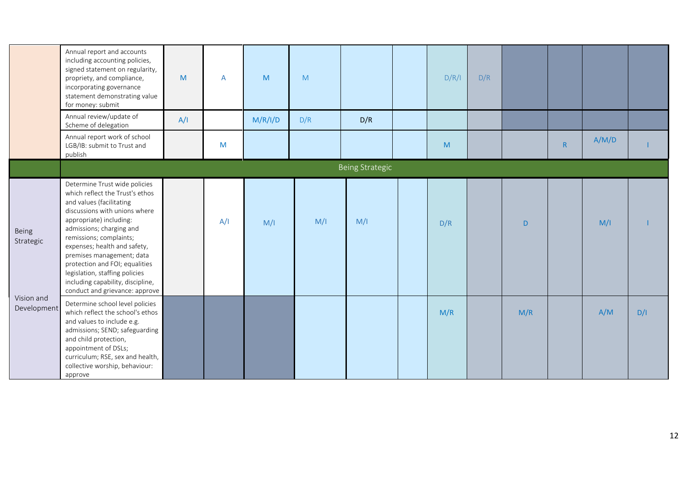|                           | Annual report and accounts<br>including accounting policies,<br>signed statement on regularity,<br>propriety, and compliance,<br>incorporating governance<br>statement demonstrating value<br>for money: submit<br>Annual review/update of<br>Scheme of delegation                                                                                                                                                      | M<br>A/I | A   | M<br>M/R/I/D | M<br>D/R | D/R                    | D/R/I | D/R |     |   |       |     |
|---------------------------|-------------------------------------------------------------------------------------------------------------------------------------------------------------------------------------------------------------------------------------------------------------------------------------------------------------------------------------------------------------------------------------------------------------------------|----------|-----|--------------|----------|------------------------|-------|-----|-----|---|-------|-----|
|                           | Annual report work of school<br>LGB/IB: submit to Trust and<br>publish                                                                                                                                                                                                                                                                                                                                                  |          | M   |              |          |                        | M     |     |     | R | A/M/D |     |
|                           |                                                                                                                                                                                                                                                                                                                                                                                                                         |          |     |              |          | <b>Being Strategic</b> |       |     |     |   |       |     |
| Being<br>Strategic        | Determine Trust wide policies<br>which reflect the Trust's ethos<br>and values (facilitating<br>discussions with unions where<br>appropriate) including:<br>admissions; charging and<br>remissions; complaints;<br>expenses; health and safety,<br>premises management; data<br>protection and FOI; equalities<br>legislation, staffing policies<br>including capability, discipline,<br>conduct and grievance: approve |          | A/I | M/I          | M/I      | M/I                    | D/R   |     | D   |   | M/I   |     |
| Vision and<br>Development | Determine school level policies<br>which reflect the school's ethos<br>and values to include e.g.<br>admissions; SEND; safeguarding<br>and child protection,<br>appointment of DSLs;<br>curriculum; RSE, sex and health,<br>collective worship, behaviour:<br>approve                                                                                                                                                   |          |     |              |          |                        | M/R   |     | M/R |   | A/M   | D/I |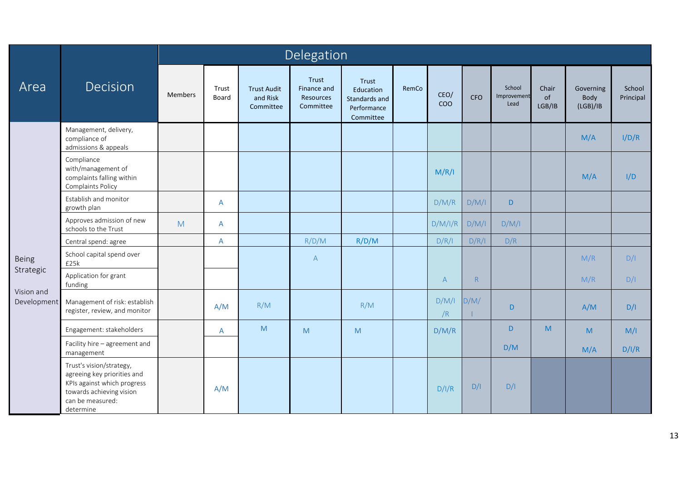|                           |                                                                                                                                                     |                |                |                                             | Delegation                                     |                                                                                                            |       |              |            |                               |                       |                               |                     |
|---------------------------|-----------------------------------------------------------------------------------------------------------------------------------------------------|----------------|----------------|---------------------------------------------|------------------------------------------------|------------------------------------------------------------------------------------------------------------|-------|--------------|------------|-------------------------------|-----------------------|-------------------------------|---------------------|
| Area                      | Decision                                                                                                                                            | <b>Members</b> | Trust<br>Board | <b>Trust Audit</b><br>and Risk<br>Committee | Trust<br>Finance and<br>Resources<br>Committee | Trust<br>Education<br>Standards and<br>Performance<br>Committee                                            | RemCo | CEO/<br>COO  | <b>CFO</b> | School<br>Improvement<br>Lead | Chair<br>of<br>LGB/IB | Governing<br>Body<br>(LGB)/IB | School<br>Principal |
|                           | Management, delivery,<br>compliance of<br>admissions & appeals                                                                                      |                |                |                                             |                                                |                                                                                                            |       |              |            |                               |                       | M/A                           | I/D/R               |
|                           | Compliance<br>with/management of<br>complaints falling within<br>Complaints Policy                                                                  |                |                |                                             |                                                |                                                                                                            |       | M/R/I        |            |                               |                       | M/A                           | I/D                 |
|                           | Establish and monitor<br>growth plan                                                                                                                |                | $\mathsf{A}$   |                                             |                                                |                                                                                                            |       | D/M/R        | D/M/I      | D                             |                       |                               |                     |
|                           | Approves admission of new<br>schools to the Trust                                                                                                   | M              | A              |                                             |                                                |                                                                                                            |       | D/M/I/R      | D/M/I      | D/M/I                         |                       |                               |                     |
|                           | Central spend: agree                                                                                                                                |                | A              |                                             | R/D/M                                          | R/D/M                                                                                                      |       | D/R/I        | D/R/I      | D/R                           |                       |                               |                     |
| <b>Being</b>              | School capital spend over<br>£25k                                                                                                                   |                |                |                                             | $\mathsf{A}$                                   |                                                                                                            |       |              |            |                               |                       | M/R                           | D/I                 |
| Strategic                 | Application for grant<br>funding                                                                                                                    |                |                |                                             |                                                |                                                                                                            |       | $\mathsf{A}$ | R          |                               |                       | M/R                           | D/I                 |
| Vision and<br>Development | Management of risk: establish<br>register, review, and monitor                                                                                      |                | A/M            | R/M                                         |                                                | R/M                                                                                                        |       | D/M/I<br>/R  | D/M/       | D                             |                       | A/M                           | D/I                 |
|                           | Engagement: stakeholders                                                                                                                            |                | A              | M                                           | M                                              | $\mathsf{M}% _{T}=\mathsf{M}_{T}\!\left( a,b\right) ,\ \mathsf{M}_{T}=\mathsf{M}_{T}\!\left( a,b\right) ,$ |       | D/M/R        |            | D                             | M                     | M                             | M/I                 |
|                           | Facility hire - agreement and<br>management                                                                                                         |                |                |                                             |                                                |                                                                                                            |       |              |            | D/M                           |                       | M/A                           | D/I/R               |
|                           | Trust's vision/strategy,<br>agreeing key priorities and<br>KPIs against which progress<br>towards achieving vision<br>can be measured:<br>determine |                | A/M            |                                             |                                                |                                                                                                            |       | D/I/R        | D/I        | D/I                           |                       |                               |                     |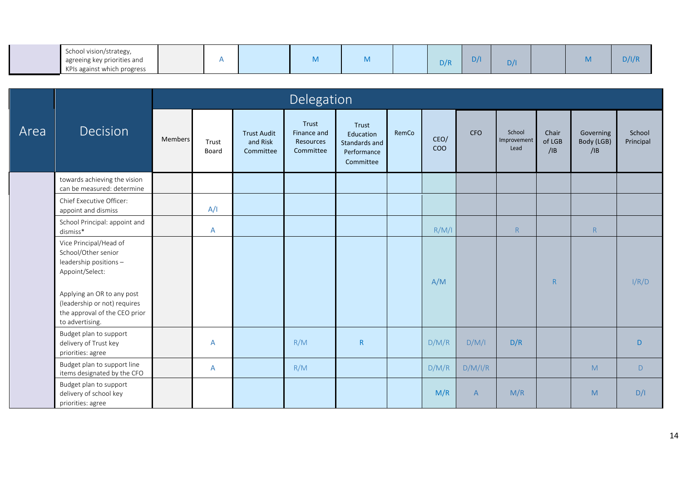| School vision/strategy,     |  |   |   |     |     |     |   |       |
|-----------------------------|--|---|---|-----|-----|-----|---|-------|
| agreeing key priorities and |  | . | . | D/R | D/I | D/I | . | D/I/R |
| KPIs against which progress |  |   |   |     |     |     |   |       |

|      |                                                                                                                |         |                |                                             | Delegation                                     |                                                                 |       |                    |                |                               |                        |                                |                     |
|------|----------------------------------------------------------------------------------------------------------------|---------|----------------|---------------------------------------------|------------------------------------------------|-----------------------------------------------------------------|-------|--------------------|----------------|-------------------------------|------------------------|--------------------------------|---------------------|
| Area | <b>Decision</b>                                                                                                | Members | Trust<br>Board | <b>Trust Audit</b><br>and Risk<br>Committee | Trust<br>Finance and<br>Resources<br>Committee | Trust<br>Education<br>Standards and<br>Performance<br>Committee | RemCo | CEO/<br><b>COO</b> | <b>CFO</b>     | School<br>Improvement<br>Lead | Chair<br>of LGB<br>/IB | Governing<br>Body (LGB)<br>/IB | School<br>Principal |
|      | towards achieving the vision<br>can be measured: determine                                                     |         |                |                                             |                                                |                                                                 |       |                    |                |                               |                        |                                |                     |
|      | Chief Executive Officer:<br>appoint and dismiss                                                                |         | A/I            |                                             |                                                |                                                                 |       |                    |                |                               |                        |                                |                     |
|      | School Principal: appoint and<br>dismiss*                                                                      |         | A              |                                             |                                                |                                                                 |       | R/M/I              |                | ${\sf R}$                     |                        | R                              |                     |
|      | Vice Principal/Head of<br>School/Other senior<br>leadership positions-<br>Appoint/Select:                      |         |                |                                             |                                                |                                                                 |       | A/M                |                |                               | R                      |                                | I/R/D               |
|      | Applying an OR to any post<br>(leadership or not) requires<br>the approval of the CEO prior<br>to advertising. |         |                |                                             |                                                |                                                                 |       |                    |                |                               |                        |                                |                     |
|      | Budget plan to support<br>delivery of Trust key<br>priorities: agree                                           |         | A              |                                             | R/M                                            | $\mathsf{R}$                                                    |       | D/M/R              | D/M/I          | D/R                           |                        |                                | D                   |
|      | Budget plan to support line<br>items designated by the CFO                                                     |         | $\mathsf{A}$   |                                             | R/M                                            |                                                                 |       | D/M/R              | D/M/I/R        |                               |                        | M                              | D                   |
|      | Budget plan to support<br>delivery of school key<br>priorities: agree                                          |         |                |                                             |                                                |                                                                 |       | M/R                | $\overline{A}$ | M/R                           |                        | M                              | D/I                 |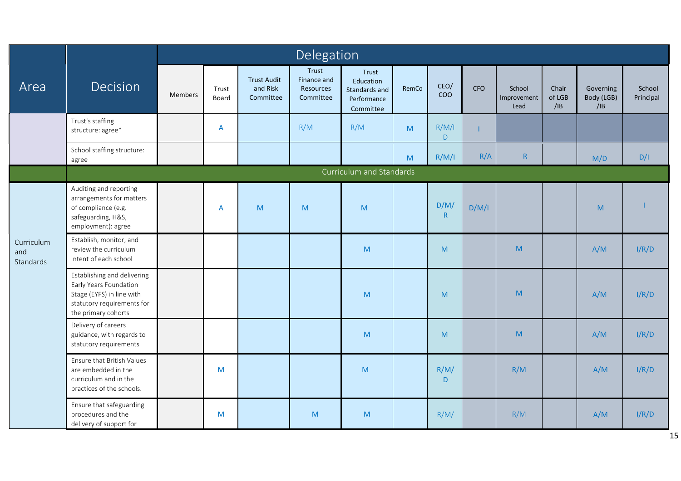|                                |                                                                                                                                         |                |                |                                             | Delegation                                     |                                                                 |       |                      |       |                               |                        |                                |                     |
|--------------------------------|-----------------------------------------------------------------------------------------------------------------------------------------|----------------|----------------|---------------------------------------------|------------------------------------------------|-----------------------------------------------------------------|-------|----------------------|-------|-------------------------------|------------------------|--------------------------------|---------------------|
| Area                           | Decision                                                                                                                                | <b>Members</b> | Trust<br>Board | <b>Trust Audit</b><br>and Risk<br>Committee | Trust<br>Finance and<br>Resources<br>Committee | Trust<br>Education<br>Standards and<br>Performance<br>Committee | RemCo | CEO/<br>COO          | CFO   | School<br>Improvement<br>Lead | Chair<br>of LGB<br>/IB | Governing<br>Body (LGB)<br>/IB | School<br>Principal |
|                                | Trust's staffing<br>structure: agree*                                                                                                   |                | A              |                                             | R/M                                            | R/M                                                             | M     | R/M/I<br>$\mathsf D$ |       |                               |                        |                                |                     |
|                                | School staffing structure:<br>agree                                                                                                     |                |                |                                             |                                                |                                                                 | M     | R/M/I                | R/A   | $\mathsf R$                   |                        | M/D                            | D/I                 |
|                                |                                                                                                                                         |                |                |                                             |                                                | Curriculum and Standards                                        |       |                      |       |                               |                        |                                |                     |
| Curriculum<br>and<br>Standards | Auditing and reporting<br>arrangements for matters<br>of compliance (e.g.<br>safeguarding, H&S,<br>employment): agree                   |                | A              | M                                           | M                                              | ${\sf M}$                                                       |       | D/M/<br>R            | D/M/I |                               |                        | M                              |                     |
|                                | Establish, monitor, and<br>review the curriculum<br>intent of each school                                                               |                |                |                                             |                                                | ${\sf M}$                                                       |       | M                    |       | M                             |                        | A/M                            | I/R/D               |
|                                | Establishing and delivering<br>Early Years Foundation<br>Stage (EYFS) in line with<br>statutory requirements for<br>the primary cohorts |                |                |                                             |                                                | M                                                               |       | M                    |       | M                             |                        | A/M                            | I/R/D               |
|                                | Delivery of careers<br>guidance, with regards to<br>statutory requirements                                                              |                |                |                                             |                                                | M                                                               |       | M                    |       | M                             |                        | A/M                            | I/R/D               |
|                                | Ensure that British Values<br>are embedded in the<br>curriculum and in the<br>practices of the schools.                                 |                | M              |                                             |                                                | M                                                               |       | R/M/<br>D            |       | R/M                           |                        | A/M                            | I/R/D               |
|                                | Ensure that safeguarding<br>procedures and the<br>delivery of support for                                                               |                | M              |                                             | M                                              | ${\sf M}$                                                       |       | R/M/                 |       | R/M                           |                        | A/M                            | I/R/D               |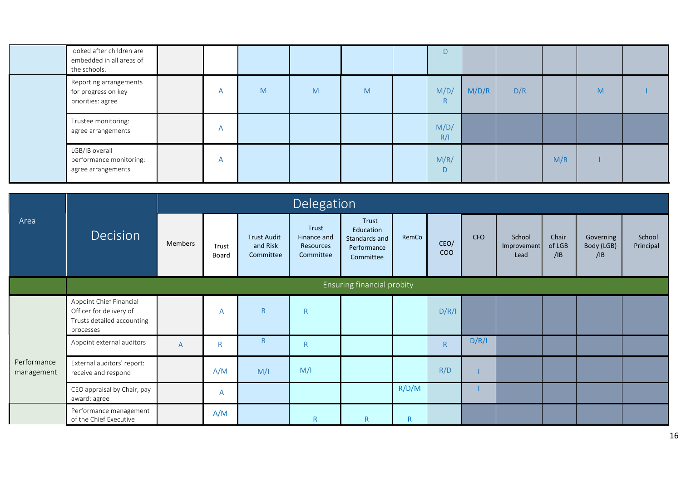| looked after children are<br>embedded in all areas of<br>the schools. |                |   |   |   |             |       |     |     |   |  |
|-----------------------------------------------------------------------|----------------|---|---|---|-------------|-------|-----|-----|---|--|
| Reporting arrangements<br>for progress on key<br>priorities: agree    | $\overline{A}$ | M | M | M | M/D/<br>R   | M/D/R | D/R |     | M |  |
| Trustee monitoring:<br>agree arrangements                             | A              |   |   |   | M/D/<br>R/I |       |     |     |   |  |
| LGB/IB overall<br>performance monitoring:<br>agree arrangements       | A              |   |   |   | M/R/<br>D   |       |     | M/R |   |  |

|                           |                                                                                               |         |                |                                             | Delegation                                     |                                                                 |              |              |            |                               |                        |                                |                     |
|---------------------------|-----------------------------------------------------------------------------------------------|---------|----------------|---------------------------------------------|------------------------------------------------|-----------------------------------------------------------------|--------------|--------------|------------|-------------------------------|------------------------|--------------------------------|---------------------|
| Area                      | Decision                                                                                      | Members | Trust<br>Board | <b>Trust Audit</b><br>and Risk<br>Committee | Trust<br>Finance and<br>Resources<br>Committee | Trust<br>Education<br>Standards and<br>Performance<br>Committee | RemCo        | CEO/<br>COO  | <b>CFO</b> | School<br>Improvement<br>Lead | Chair<br>of LGB<br>/IB | Governing<br>Body (LGB)<br>/IB | School<br>Principal |
|                           |                                                                                               |         |                |                                             |                                                | Ensuring financial probity                                      |              |              |            |                               |                        |                                |                     |
|                           | Appoint Chief Financial<br>Officer for delivery of<br>Trusts detailed accounting<br>processes |         | A              | $\mathsf{R}$                                | $\mathsf{R}$                                   |                                                                 |              | D/R/I        |            |                               |                        |                                |                     |
|                           | Appoint external auditors                                                                     | A       | $\mathsf{R}$   | $\mathsf{R}$                                | $\mathsf{R}$                                   |                                                                 |              | $\mathsf{R}$ | D/R/I      |                               |                        |                                |                     |
| Performance<br>management | External auditors' report:<br>receive and respond                                             |         | A/M            | M/I                                         | M/I                                            |                                                                 |              | R/D          |            |                               |                        |                                |                     |
|                           | CEO appraisal by Chair, pay<br>award: agree                                                   |         | A              |                                             |                                                |                                                                 | R/D/M        |              |            |                               |                        |                                |                     |
|                           | Performance management<br>of the Chief Executive                                              |         | A/M            |                                             | $\mathsf{R}$                                   | ${\sf R}$                                                       | $\mathsf{R}$ |              |            |                               |                        |                                |                     |